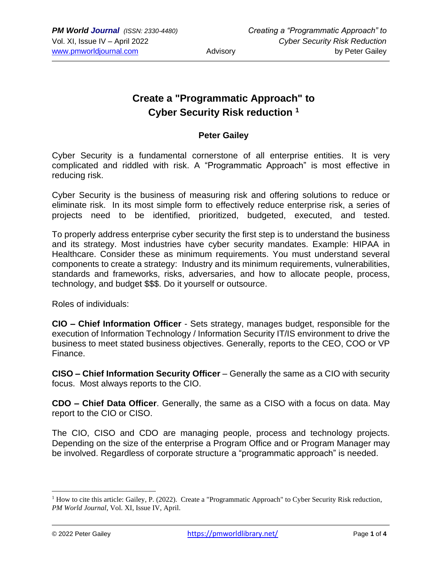## **Create a "Programmatic Approach" to Cyber Security Risk reduction <sup>1</sup>**

## **Peter Gailey**

Cyber Security is a fundamental cornerstone of all enterprise entities. It is very complicated and riddled with risk. A "Programmatic Approach" is most effective in reducing risk.

Cyber Security is the business of measuring risk and offering solutions to reduce or eliminate risk. In its most simple form to effectively reduce enterprise risk, a series of projects need to be identified, prioritized, budgeted, executed, and tested.

To properly address enterprise cyber security the first step is to understand the business and its strategy. Most industries have cyber security mandates. Example: HIPAA in Healthcare. Consider these as minimum requirements. You must understand several components to create a strategy: Industry and its minimum requirements, vulnerabilities, standards and frameworks, risks, adversaries, and how to allocate people, process, technology, and budget \$\$\$. Do it yourself or outsource.

Roles of individuals:

**CIO – Chief Information Officer** - Sets strategy, manages budget, responsible for the execution of Information Technology / Information Security IT/IS environment to drive the business to meet stated business objectives. Generally, reports to the CEO, COO or VP Finance.

**CISO – Chief Information Security Officer** – Generally the same as a CIO with security focus. Most always reports to the CIO.

**CDO – Chief Data Officer**. Generally, the same as a CISO with a focus on data. May report to the CIO or CISO.

The CIO, CISO and CDO are managing people, process and technology projects. Depending on the size of the enterprise a Program Office and or Program Manager may be involved. Regardless of corporate structure a "programmatic approach" is needed.

<sup>&</sup>lt;sup>1</sup> How to cite this article: Gailey, P. (2022). Create a "Programmatic Approach" to Cyber Security Risk reduction, *PM World Journal*, Vol. XI, Issue IV, April.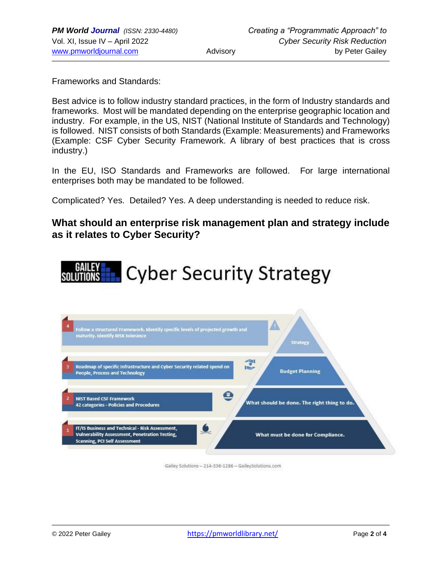Frameworks and Standards:

Best advice is to follow industry standard practices, in the form of Industry standards and frameworks. Most will be mandated depending on the enterprise geographic location and industry. For example, in the US, NIST (National Institute of Standards and Technology) is followed. NIST consists of both Standards (Example: Measurements) and Frameworks (Example: CSF Cyber Security Framework. A library of best practices that is cross industry.)

In the EU, ISO Standards and Frameworks are followed. For large international enterprises both may be mandated to be followed.

Complicated? Yes. Detailed? Yes. A deep understanding is needed to reduce risk.

## **What should an enterprise risk management plan and strategy include as it relates to Cyber Security?**





Gailey Solutions - 214-336-1286 - GaileySolutions.com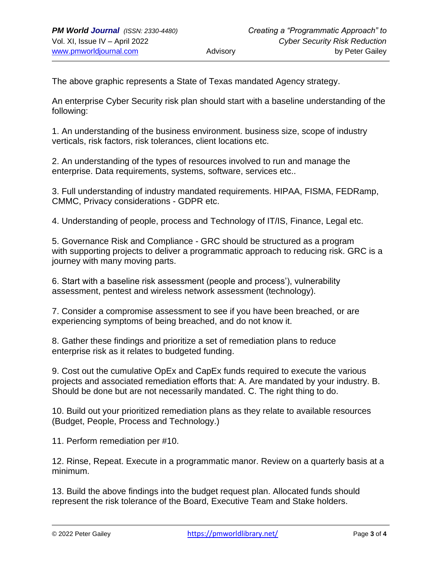The above graphic represents a State of Texas mandated Agency strategy.

An enterprise Cyber Security risk plan should start with a baseline understanding of the following:

1. An understanding of the business environment. business size, scope of industry verticals, risk factors, risk tolerances, client locations etc.

2. An understanding of the types of resources involved to run and manage the enterprise. Data requirements, systems, software, services etc..

3. Full understanding of industry mandated requirements. HIPAA, FISMA, FEDRamp, CMMC, Privacy considerations - GDPR etc.

4. Understanding of people, process and Technology of IT/IS, Finance, Legal etc.

5. Governance Risk and Compliance - GRC should be structured as a program with supporting projects to deliver a programmatic approach to reducing risk. GRC is a journey with many moving parts.

6. Start with a baseline risk assessment (people and process'), vulnerability assessment, pentest and wireless network assessment (technology).

7. Consider a compromise assessment to see if you have been breached, or are experiencing symptoms of being breached, and do not know it.

8. Gather these findings and prioritize a set of remediation plans to reduce enterprise risk as it relates to budgeted funding.

9. Cost out the cumulative OpEx and CapEx funds required to execute the various projects and associated remediation efforts that: A. Are mandated by your industry. B. Should be done but are not necessarily mandated. C. The right thing to do.

10. Build out your prioritized remediation plans as they relate to available resources (Budget, People, Process and Technology.)

11. Perform remediation per #10.

12. Rinse, Repeat. Execute in a programmatic manor. Review on a quarterly basis at a minimum.

13. Build the above findings into the budget request plan. Allocated funds should represent the risk tolerance of the Board, Executive Team and Stake holders.